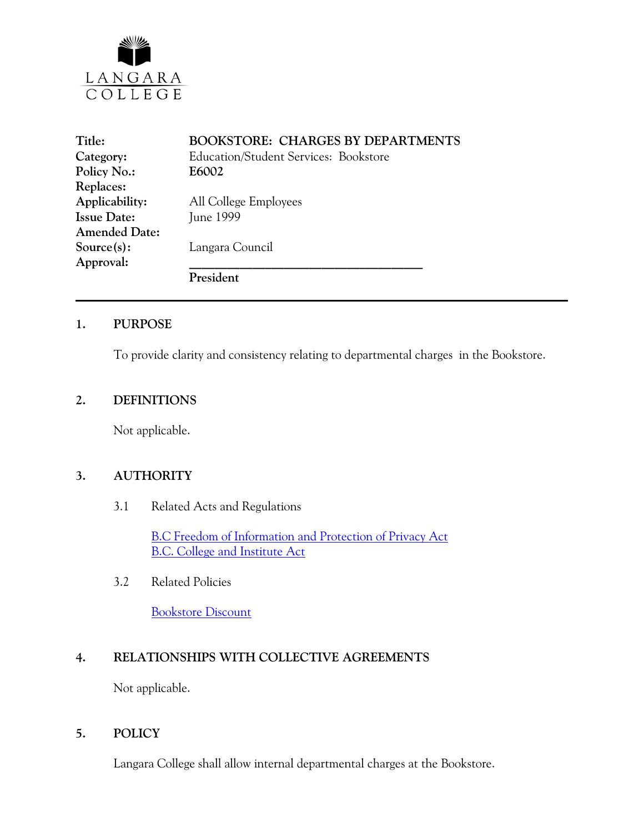

| Title:               | <b>BOOKSTORE: CHARGES BY DEPARTMENTS</b> |
|----------------------|------------------------------------------|
| Category:            | Education/Student Services: Bookstore    |
| Policy No.:          | E6002                                    |
| Replaces:            |                                          |
| Applicability:       | All College Employees                    |
| <b>Issue Date:</b>   | June 1999                                |
| <b>Amended Date:</b> |                                          |
| Source(s):           | Langara Council                          |
| Approval:            |                                          |
|                      | President                                |

#### **1. PURPOSE**

To provide clarity and consistency relating to departmental charges in the Bookstore.

### **2. DEFINITIONS**

Not applicable.

### **3. AUTHORITY**

3.1 Related Acts and Regulations

[B.C Freedom of Information and Protection of Privacy Act](http://www.mser.gov.bc.ca/foi_pop/index_toc.htm) [B.C. College and Institute Act](http://www.qp.gov.bc.ca/statreg/stat/C/96052_01.htm)

3.2 Related Policies

[Bookstore Discount](http://www.langara.bc.ca/policies/E6001.pdf)

### **4. RELATIONSHIPS WITH COLLECTIVE AGREEMENTS**

Not applicable.

#### **5. POLICY**

Langara College shall allow internal departmental charges at the Bookstore.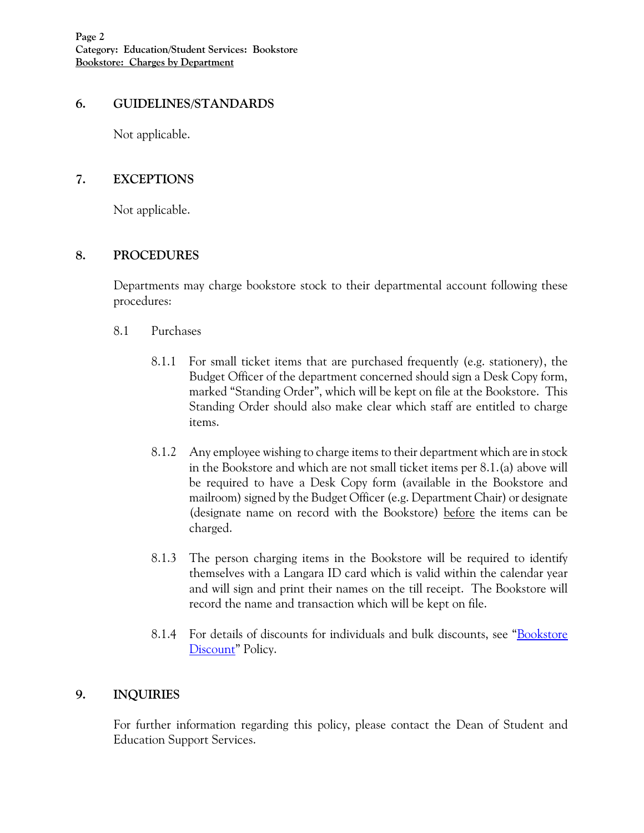### **6. GUIDELINES/STANDARDS**

Not applicable.

# **7. EXCEPTIONS**

Not applicable.

## **8. PROCEDURES**

Departments may charge bookstore stock to their departmental account following these procedures:

- 8.1 Purchases
	- 8.1.1 For small ticket items that are purchased frequently (e.g. stationery), the Budget Officer of the department concerned should sign a Desk Copy form, marked "Standing Order", which will be kept on file at the Bookstore. This Standing Order should also make clear which staff are entitled to charge items.
	- 8.1.2 Any employee wishing to charge items to their department which are in stock in the Bookstore and which are not small ticket items per 8.1.(a) above will be required to have a Desk Copy form (available in the Bookstore and mailroom) signed by the Budget Officer (e.g. Department Chair) or designate (designate name on record with the Bookstore) before the items can be charged.
	- 8.1.3 The person charging items in the Bookstore will be required to identify themselves with a Langara ID card which is valid within the calendar year and will sign and print their names on the till receipt. The Bookstore will record the name and transaction which will be kept on file.
	- 8.1.4 For details of discounts for individuals and bulk discounts, see "Bookstore [Discount"](http://www.langara.bc.ca/policies/E6001.pdf) Policy.

# **9. INQUIRIES**

For further information regarding this policy, please contact the Dean of Student and Education Support Services.